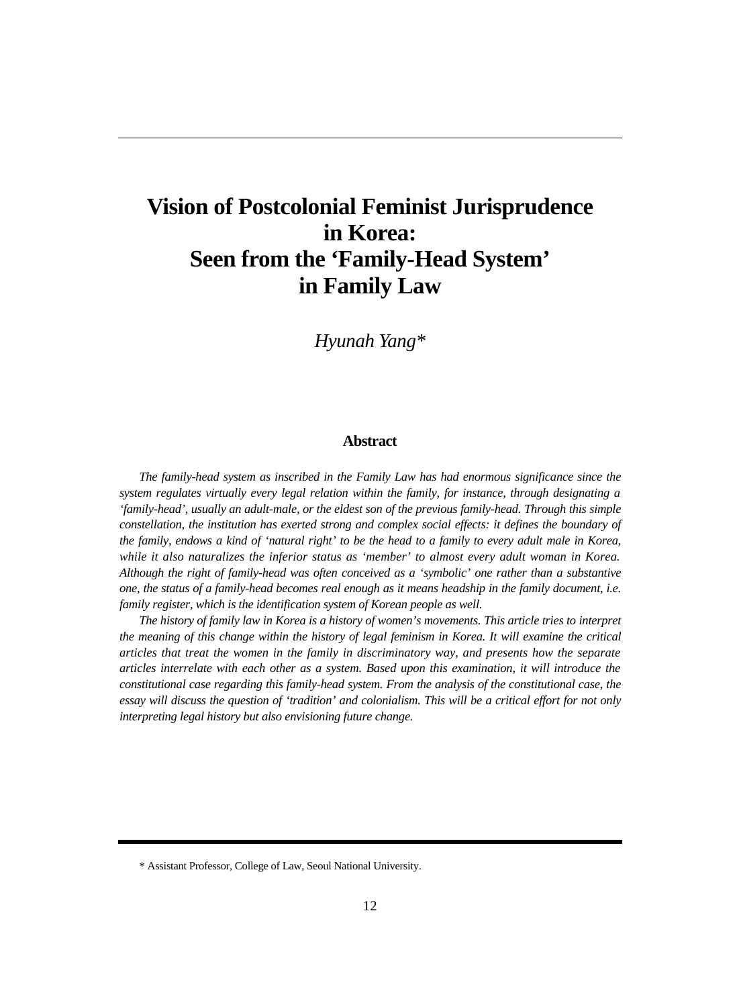# **Vision of Postcolonial Feminist Jurisprudence in Korea: Seen from the 'Family-Head System' in Family Law**

*Hyunah Yang\**

#### **Abstract**

*The family-head system as inscribed in the Family Law has had enormous significance since the system regulates virtually every legal relation within the family, for instance, through designating a 'family-head', usually an adult-male, or the eldest son of the previous family-head. Through this simple constellation, the institution has exerted strong and complex social effects: it defines the boundary of the family, endows a kind of 'natural right' to be the head to a family to every adult male in Korea, while it also naturalizes the inferior status as 'member' to almost every adult woman in Korea. Although the right of family-head was often conceived as a 'symbolic' one rather than a substantive one, the status of a family-head becomes real enough as it means headship in the family document, i.e. family register, which is the identification system of Korean people as well.* 

*The history of family law in Korea is a history of women's movements. This article tries to interpret the meaning of this change within the history of legal feminism in Korea. It will examine the critical articles that treat the women in the family in discriminatory way, and presents how the separate articles interrelate with each other as a system. Based upon this examination, it will introduce the constitutional case regarding this family-head system. From the analysis of the constitutional case, the essay will discuss the question of 'tradition' and colonialism. This will be a critical effort for not only interpreting legal history but also envisioning future change.*

<sup>\*</sup> Assistant Professor, College of Law, Seoul National University.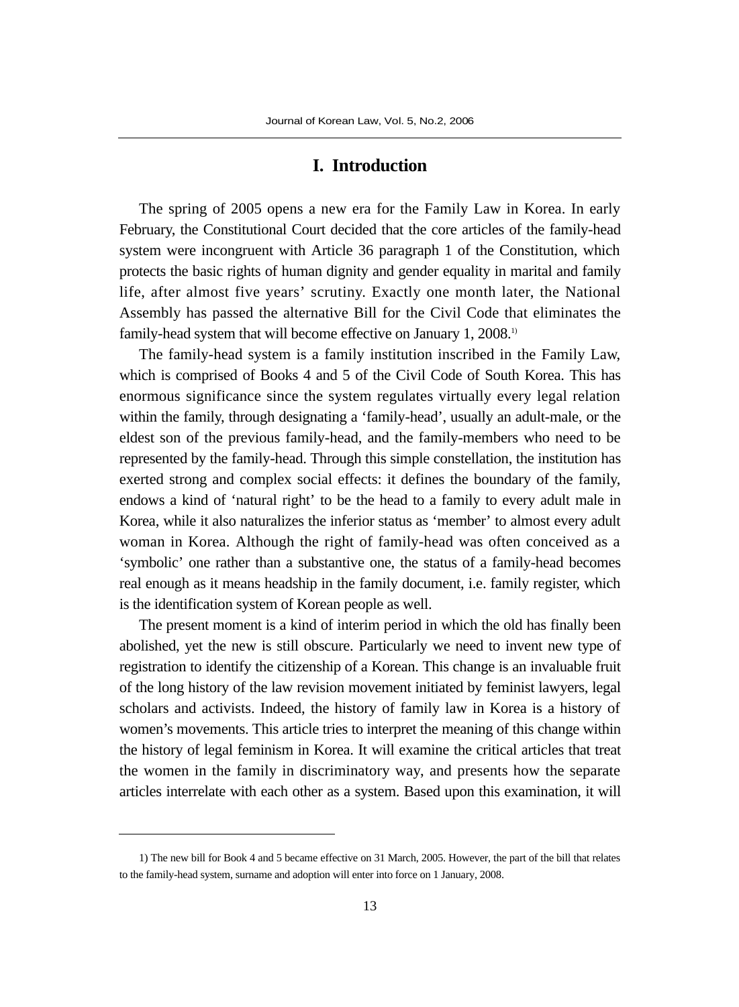## **I. Introduction**

The spring of 2005 opens a new era for the Family Law in Korea. In early February, the Constitutional Court decided that the core articles of the family-head system were incongruent with Article 36 paragraph 1 of the Constitution, which protects the basic rights of human dignity and gender equality in marital and family life, after almost five years' scrutiny. Exactly one month later, the National Assembly has passed the alternative Bill for the Civil Code that eliminates the family-head system that will become effective on January 1, 2008.<sup>1)</sup>

The family-head system is a family institution inscribed in the Family Law, which is comprised of Books 4 and 5 of the Civil Code of South Korea. This has enormous significance since the system regulates virtually every legal relation within the family, through designating a 'family-head', usually an adult-male, or the eldest son of the previous family-head, and the family-members who need to be represented by the family-head. Through this simple constellation, the institution has exerted strong and complex social effects: it defines the boundary of the family, endows a kind of 'natural right' to be the head to a family to every adult male in Korea, while it also naturalizes the inferior status as 'member' to almost every adult woman in Korea. Although the right of family-head was often conceived as a 'symbolic' one rather than a substantive one, the status of a family-head becomes real enough as it means headship in the family document, i.e. family register, which is the identification system of Korean people as well.

The present moment is a kind of interim period in which the old has finally been abolished, yet the new is still obscure. Particularly we need to invent new type of registration to identify the citizenship of a Korean. This change is an invaluable fruit of the long history of the law revision movement initiated by feminist lawyers, legal scholars and activists. Indeed, the history of family law in Korea is a history of women's movements. This article tries to interpret the meaning of this change within the history of legal feminism in Korea. It will examine the critical articles that treat the women in the family in discriminatory way, and presents how the separate articles interrelate with each other as a system. Based upon this examination, it will

<sup>1)</sup> The new bill for Book 4 and 5 became effective on 31 March, 2005. However, the part of the bill that relates to the family-head system, surname and adoption will enter into force on 1 January, 2008.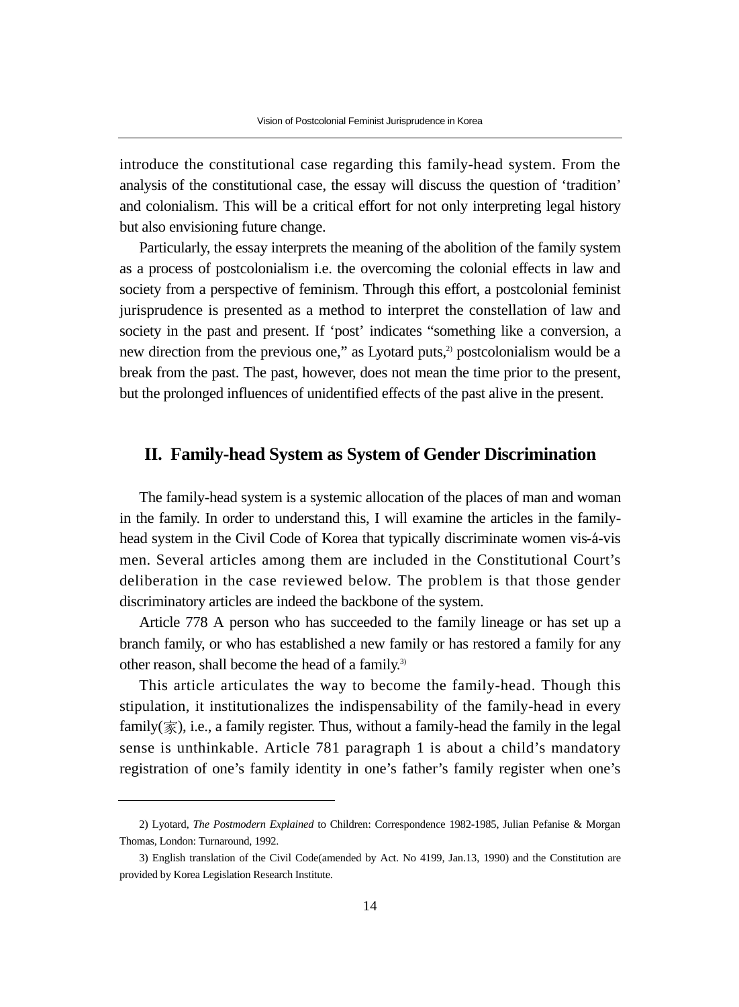introduce the constitutional case regarding this family-head system. From the analysis of the constitutional case, the essay will discuss the question of 'tradition' and colonialism. This will be a critical effort for not only interpreting legal history but also envisioning future change.

Particularly, the essay interprets the meaning of the abolition of the family system as a process of postcolonialism i.e. the overcoming the colonial effects in law and society from a perspective of feminism. Through this effort, a postcolonial feminist jurisprudence is presented as a method to interpret the constellation of law and society in the past and present. If 'post' indicates "something like a conversion, a new direction from the previous one," as Lyotard puts, $2$  postcolonialism would be a break from the past. The past, however, does not mean the time prior to the present, but the prolonged influences of unidentified effects of the past alive in the present.

## **II. Family-head System as System of Gender Discrimination**

The family-head system is a systemic allocation of the places of man and woman in the family. In order to understand this, I will examine the articles in the familyhead system in the Civil Code of Korea that typically discriminate women vis-á-vis men. Several articles among them are included in the Constitutional Court's deliberation in the case reviewed below. The problem is that those gender discriminatory articles are indeed the backbone of the system.

Article 778 A person who has succeeded to the family lineage or has set up a branch family, or who has established a new family or has restored a family for any other reason, shall become the head of a family.<sup>3)</sup>

This article articulates the way to become the family-head. Though this stipulation, it institutionalizes the indispensability of the family-head in every family( $\overline{\mathcal{R}}$ ), i.e., a family register. Thus, without a family-head the family in the legal sense is unthinkable. Article 781 paragraph 1 is about a child's mandatory registration of one's family identity in one's father's family register when one's

<sup>2)</sup> Lyotard, *The Postmodern Explained* to Children: Correspondence 1982-1985, Julian Pefanise & Morgan Thomas, London: Turnaround, 1992.

<sup>3)</sup> English translation of the Civil Code(amended by Act. No 4199, Jan.13, 1990) and the Constitution are provided by Korea Legislation Research Institute.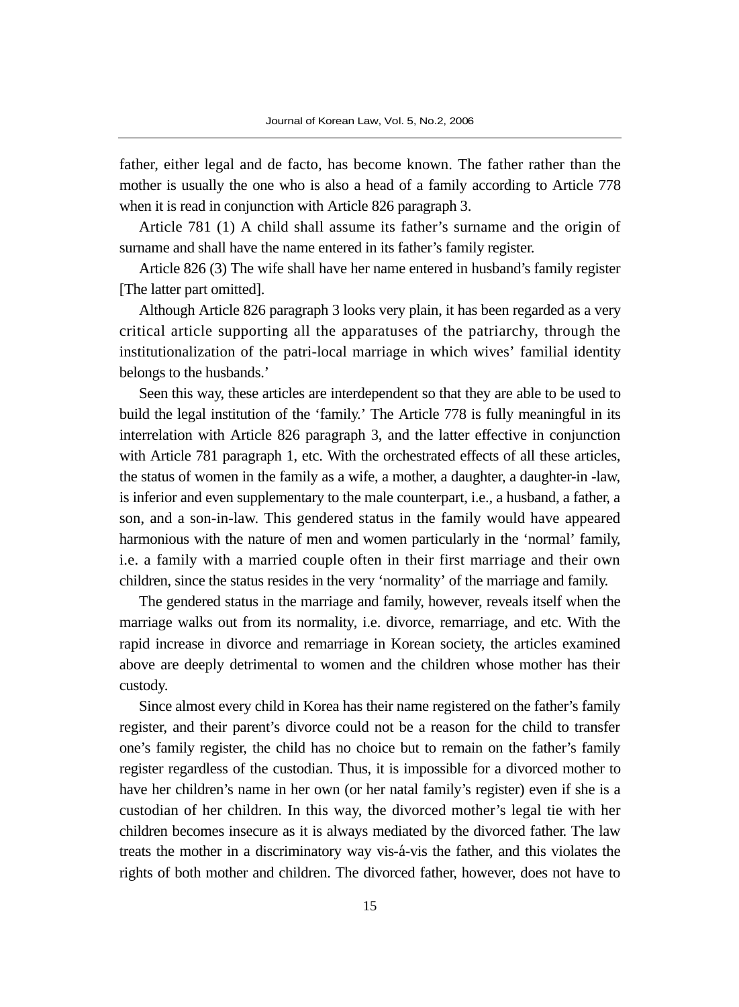father, either legal and de facto, has become known. The father rather than the mother is usually the one who is also a head of a family according to Article 778 when it is read in conjunction with Article 826 paragraph 3.

Article 781 (1) A child shall assume its father's surname and the origin of surname and shall have the name entered in its father's family register.

Article 826 (3) The wife shall have her name entered in husband's family register [The latter part omitted].

Although Article 826 paragraph 3 looks very plain, it has been regarded as a very critical article supporting all the apparatuses of the patriarchy, through the institutionalization of the patri-local marriage in which wives' familial identity belongs to the husbands.'

Seen this way, these articles are interdependent so that they are able to be used to build the legal institution of the 'family.' The Article 778 is fully meaningful in its interrelation with Article 826 paragraph 3, and the latter effective in conjunction with Article 781 paragraph 1, etc. With the orchestrated effects of all these articles, the status of women in the family as a wife, a mother, a daughter, a daughter-in -law, is inferior and even supplementary to the male counterpart, i.e., a husband, a father, a son, and a son-in-law. This gendered status in the family would have appeared harmonious with the nature of men and women particularly in the 'normal' family, i.e. a family with a married couple often in their first marriage and their own children, since the status resides in the very 'normality' of the marriage and family.

The gendered status in the marriage and family, however, reveals itself when the marriage walks out from its normality, i.e. divorce, remarriage, and etc. With the rapid increase in divorce and remarriage in Korean society, the articles examined above are deeply detrimental to women and the children whose mother has their custody.

Since almost every child in Korea has their name registered on the father's family register, and their parent's divorce could not be a reason for the child to transfer one's family register, the child has no choice but to remain on the father's family register regardless of the custodian. Thus, it is impossible for a divorced mother to have her children's name in her own (or her natal family's register) even if she is a custodian of her children. In this way, the divorced mother's legal tie with her children becomes insecure as it is always mediated by the divorced father. The law treats the mother in a discriminatory way vis- $\acute{a}$ -vis the father, and this violates the rights of both mother and children. The divorced father, however, does not have to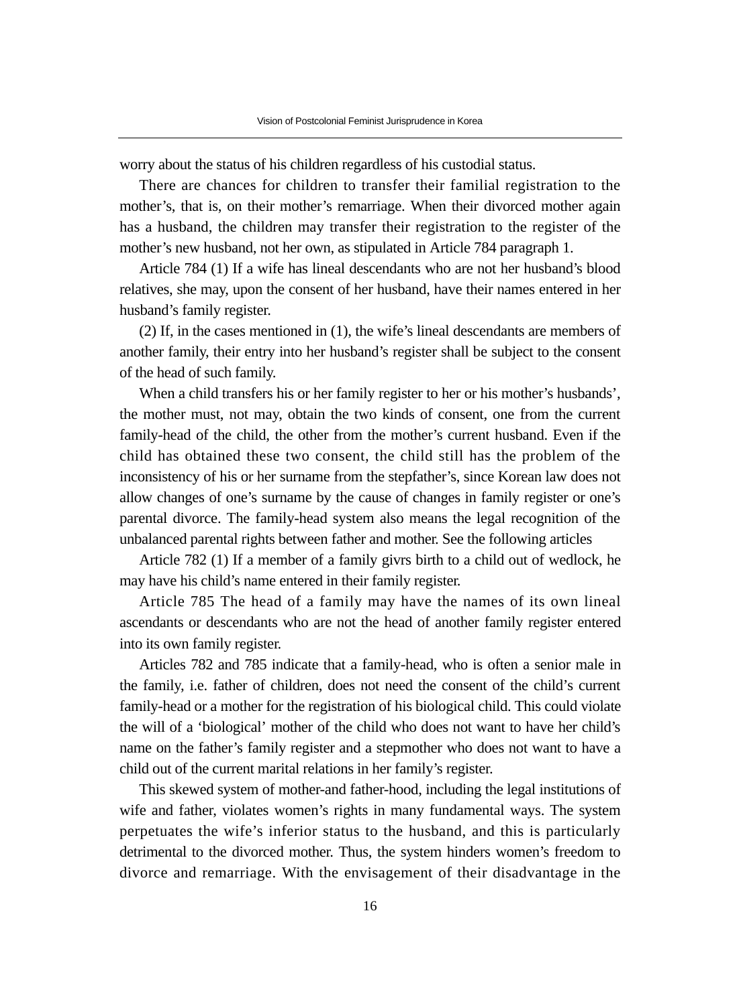worry about the status of his children regardless of his custodial status.

There are chances for children to transfer their familial registration to the mother's, that is, on their mother's remarriage. When their divorced mother again has a husband, the children may transfer their registration to the register of the mother's new husband, not her own, as stipulated in Article 784 paragraph 1.

Article 784 (1) If a wife has lineal descendants who are not her husband's blood relatives, she may, upon the consent of her husband, have their names entered in her husband's family register.

(2) If, in the cases mentioned in (1), the wife's lineal descendants are members of another family, their entry into her husband's register shall be subject to the consent of the head of such family.

When a child transfers his or her family register to her or his mother's husbands', the mother must, not may, obtain the two kinds of consent, one from the current family-head of the child, the other from the mother's current husband. Even if the child has obtained these two consent, the child still has the problem of the inconsistency of his or her surname from the stepfather's, since Korean law does not allow changes of one's surname by the cause of changes in family register or one's parental divorce. The family-head system also means the legal recognition of the unbalanced parental rights between father and mother. See the following articles

Article 782 (1) If a member of a family givrs birth to a child out of wedlock, he may have his child's name entered in their family register.

Article 785 The head of a family may have the names of its own lineal ascendants or descendants who are not the head of another family register entered into its own family register.

Articles 782 and 785 indicate that a family-head, who is often a senior male in the family, i.e. father of children, does not need the consent of the child's current family-head or a mother for the registration of his biological child. This could violate the will of a 'biological' mother of the child who does not want to have her child's name on the father's family register and a stepmother who does not want to have a child out of the current marital relations in her family's register.

This skewed system of mother-and father-hood, including the legal institutions of wife and father, violates women's rights in many fundamental ways. The system perpetuates the wife's inferior status to the husband, and this is particularly detrimental to the divorced mother. Thus, the system hinders women's freedom to divorce and remarriage. With the envisagement of their disadvantage in the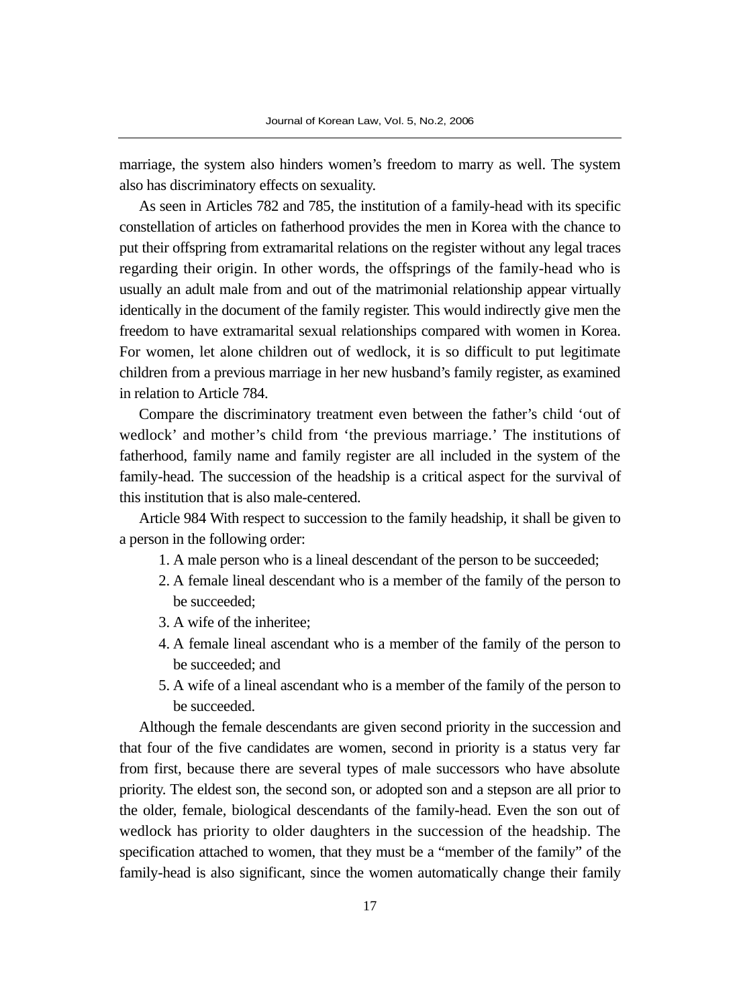marriage, the system also hinders women's freedom to marry as well. The system also has discriminatory effects on sexuality.

As seen in Articles 782 and 785, the institution of a family-head with its specific constellation of articles on fatherhood provides the men in Korea with the chance to put their offspring from extramarital relations on the register without any legal traces regarding their origin. In other words, the offsprings of the family-head who is usually an adult male from and out of the matrimonial relationship appear virtually identically in the document of the family register. This would indirectly give men the freedom to have extramarital sexual relationships compared with women in Korea. For women, let alone children out of wedlock, it is so difficult to put legitimate children from a previous marriage in her new husband's family register, as examined in relation to Article 784.

Compare the discriminatory treatment even between the father's child 'out of wedlock' and mother's child from 'the previous marriage.' The institutions of fatherhood, family name and family register are all included in the system of the family-head. The succession of the headship is a critical aspect for the survival of this institution that is also male-centered.

Article 984 With respect to succession to the family headship, it shall be given to a person in the following order:

- 1. A male person who is a lineal descendant of the person to be succeeded;
- 2. A female lineal descendant who is a member of the family of the person to be succeeded;
- 3. A wife of the inheritee;
- 4. A female lineal ascendant who is a member of the family of the person to be succeeded; and
- 5. A wife of a lineal ascendant who is a member of the family of the person to be succeeded.

Although the female descendants are given second priority in the succession and that four of the five candidates are women, second in priority is a status very far from first, because there are several types of male successors who have absolute priority. The eldest son, the second son, or adopted son and a stepson are all prior to the older, female, biological descendants of the family-head. Even the son out of wedlock has priority to older daughters in the succession of the headship. The specification attached to women, that they must be a "member of the family" of the family-head is also significant, since the women automatically change their family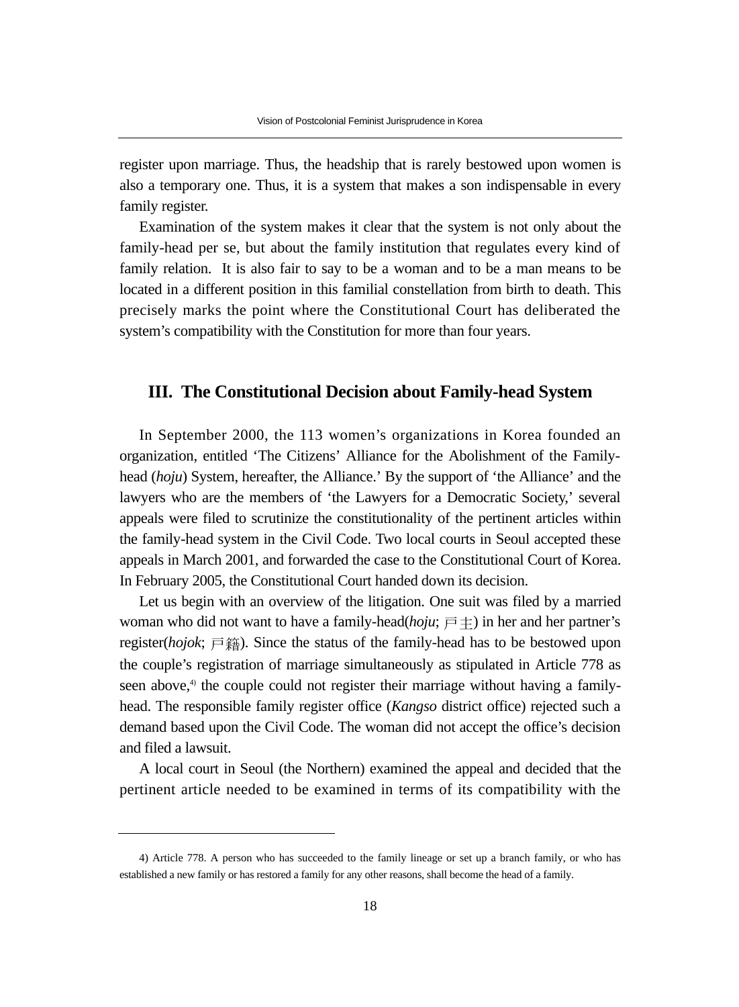register upon marriage. Thus, the headship that is rarely bestowed upon women is also a temporary one. Thus, it is a system that makes a son indispensable in every family register.

Examination of the system makes it clear that the system is not only about the family-head per se, but about the family institution that regulates every kind of family relation. It is also fair to say to be a woman and to be a man means to be located in a different position in this familial constellation from birth to death. This precisely marks the point where the Constitutional Court has deliberated the system's compatibility with the Constitution for more than four years.

### **III. The Constitutional Decision about Family-head System**

In September 2000, the 113 women's organizations in Korea founded an organization, entitled 'The Citizens' Alliance for the Abolishment of the Familyhead (*hoju*) System, hereafter, the Alliance.' By the support of 'the Alliance' and the lawyers who are the members of 'the Lawyers for a Democratic Society,' several appeals were filed to scrutinize the constitutionality of the pertinent articles within the family-head system in the Civil Code. Two local courts in Seoul accepted these appeals in March 2001, and forwarded the case to the Constitutional Court of Korea. In February 2005, the Constitutional Court handed down its decision.

Let us begin with an overview of the litigation. One suit was filed by a married woman who did not want to have a family-head( $hoju$ ;  $\overline{p} \pm$ ) in her and her partner's register(*hojok*;  $\equiv \frac{44}{3}$ ). Since the status of the family-head has to be bestowed upon the couple's registration of marriage simultaneously as stipulated in Article 778 as seen above, $4$  the couple could not register their marriage without having a familyhead. The responsible family register office (*Kangso* district office) rejected such a demand based upon the Civil Code. The woman did not accept the office's decision and filed a lawsuit.

A local court in Seoul (the Northern) examined the appeal and decided that the pertinent article needed to be examined in terms of its compatibility with the

<sup>4)</sup> Article 778. A person who has succeeded to the family lineage or set up a branch family, or who has established a new family or has restored a family for any other reasons, shall become the head of a family.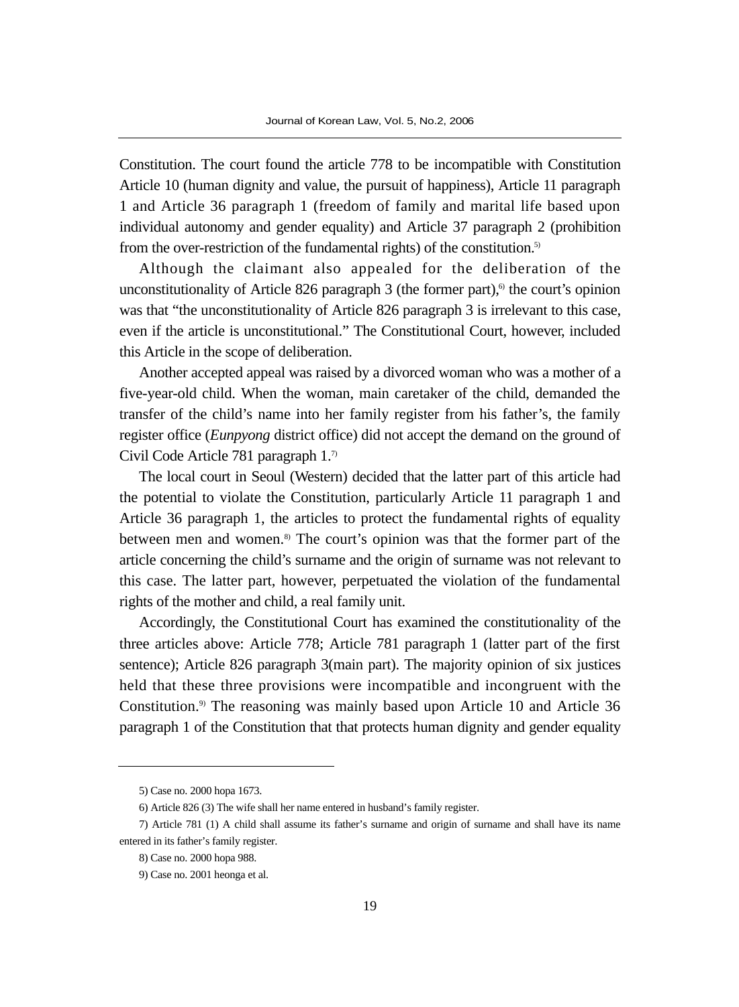Constitution. The court found the article 778 to be incompatible with Constitution Article 10 (human dignity and value, the pursuit of happiness), Article 11 paragraph 1 and Article 36 paragraph 1 (freedom of family and marital life based upon individual autonomy and gender equality) and Article 37 paragraph 2 (prohibition from the over-restriction of the fundamental rights) of the constitution.<sup>5)</sup>

Although the claimant also appealed for the deliberation of the unconstitutionality of Article 826 paragraph 3 (the former part), $\delta$  the court's opinion was that "the unconstitutionality of Article 826 paragraph 3 is irrelevant to this case, even if the article is unconstitutional." The Constitutional Court, however, included this Article in the scope of deliberation.

Another accepted appeal was raised by a divorced woman who was a mother of a five-year-old child. When the woman, main caretaker of the child, demanded the transfer of the child's name into her family register from his father's, the family register office (*Eunpyong* district office) did not accept the demand on the ground of Civil Code Article 781 paragraph 1.7)

The local court in Seoul (Western) decided that the latter part of this article had the potential to violate the Constitution, particularly Article 11 paragraph 1 and Article 36 paragraph 1, the articles to protect the fundamental rights of equality between men and women.8) The court's opinion was that the former part of the article concerning the child's surname and the origin of surname was not relevant to this case. The latter part, however, perpetuated the violation of the fundamental rights of the mother and child, a real family unit.

Accordingly, the Constitutional Court has examined the constitutionality of the three articles above: Article 778; Article 781 paragraph 1 (latter part of the first sentence); Article 826 paragraph 3(main part). The majority opinion of six justices held that these three provisions were incompatible and incongruent with the Constitution.9) The reasoning was mainly based upon Article 10 and Article 36 paragraph 1 of the Constitution that that protects human dignity and gender equality

<sup>5)</sup> Case no. 2000 hopa 1673.

<sup>6)</sup> Article 826 (3) The wife shall her name entered in husband's family register.

<sup>7)</sup> Article 781 (1) A child shall assume its father's surname and origin of surname and shall have its name entered in its father's family register.

<sup>8)</sup> Case no. 2000 hopa 988.

<sup>9)</sup> Case no. 2001 heonga et al.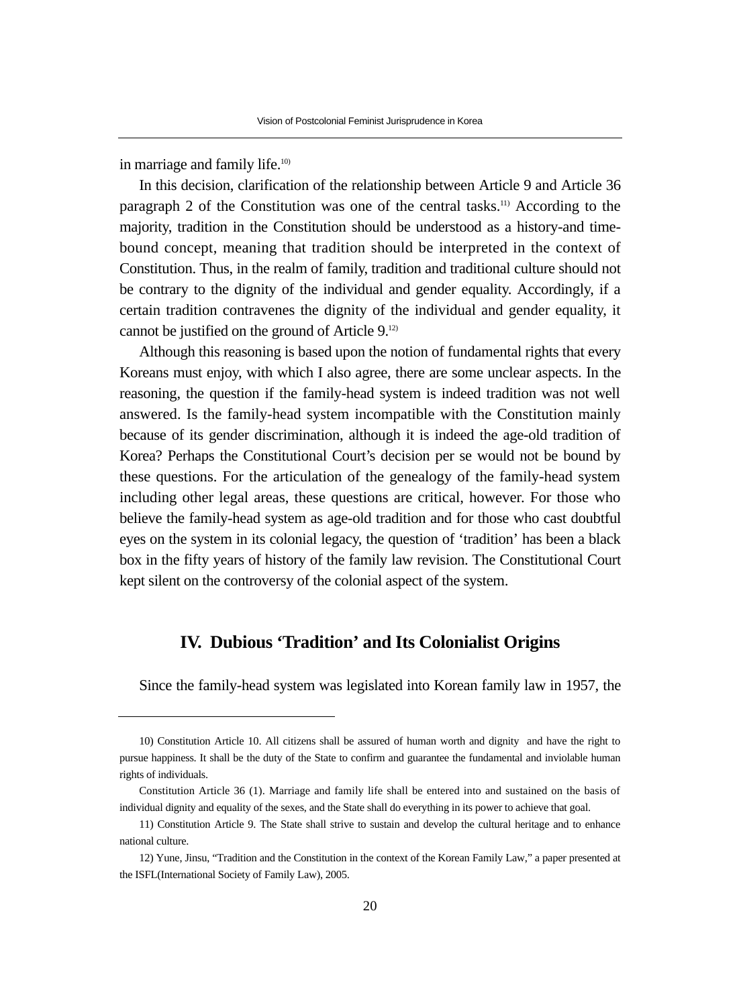in marriage and family life.<sup>10)</sup>

In this decision, clarification of the relationship between Article 9 and Article 36 paragraph 2 of the Constitution was one of the central tasks.11) According to the majority, tradition in the Constitution should be understood as a history-and timebound concept, meaning that tradition should be interpreted in the context of Constitution. Thus, in the realm of family, tradition and traditional culture should not be contrary to the dignity of the individual and gender equality. Accordingly, if a certain tradition contravenes the dignity of the individual and gender equality, it cannot be justified on the ground of Article 9.12)

Although this reasoning is based upon the notion of fundamental rights that every Koreans must enjoy, with which I also agree, there are some unclear aspects. In the reasoning, the question if the family-head system is indeed tradition was not well answered. Is the family-head system incompatible with the Constitution mainly because of its gender discrimination, although it is indeed the age-old tradition of Korea? Perhaps the Constitutional Court's decision per se would not be bound by these questions. For the articulation of the genealogy of the family-head system including other legal areas, these questions are critical, however. For those who believe the family-head system as age-old tradition and for those who cast doubtful eyes on the system in its colonial legacy, the question of 'tradition' has been a black box in the fifty years of history of the family law revision. The Constitutional Court kept silent on the controversy of the colonial aspect of the system.

# **IV. Dubious 'Tradition' and Its Colonialist Origins**

Since the family-head system was legislated into Korean family law in 1957, the

<sup>10)</sup> Constitution Article 10. All citizens shall be assured of human worth and dignity and have the right to pursue happiness. It shall be the duty of the State to confirm and guarantee the fundamental and inviolable human rights of individuals.

Constitution Article 36 (1). Marriage and family life shall be entered into and sustained on the basis of individual dignity and equality of the sexes, and the State shall do everything in its power to achieve that goal.

<sup>11)</sup> Constitution Article 9. The State shall strive to sustain and develop the cultural heritage and to enhance national culture.

<sup>12)</sup> Yune, Jinsu, "Tradition and the Constitution in the context of the Korean Family Law," a paper presented at the ISFL(International Society of Family Law), 2005.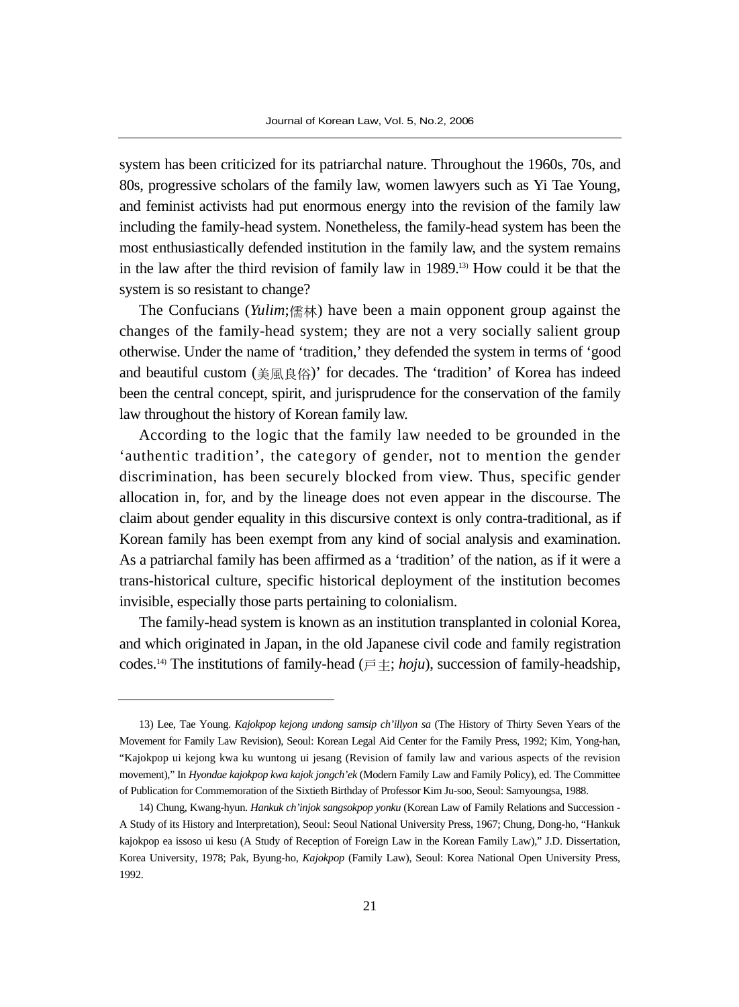system has been criticized for its patriarchal nature. Throughout the 1960s, 70s, and 80s, progressive scholars of the family law, women lawyers such as Yi Tae Young, and feminist activists had put enormous energy into the revision of the family law including the family-head system. Nonetheless, the family-head system has been the most enthusiastically defended institution in the family law, and the system remains in the law after the third revision of family law in 1989.13) How could it be that the system is so resistant to change?

The Confucians (*Yulim*;儒林) have been a main opponent group against the changes of the family-head system; they are not a very socially salient group otherwise. Under the name of 'tradition,' they defended the system in terms of 'good and beautiful custom (美風良俗)' for decades. The 'tradition' of Korea has indeed been the central concept, spirit, and jurisprudence for the conservation of the family law throughout the history of Korean family law.

According to the logic that the family law needed to be grounded in the 'authentic tradition', the category of gender, not to mention the gender discrimination, has been securely blocked from view. Thus, specific gender allocation in, for, and by the lineage does not even appear in the discourse. The claim about gender equality in this discursive context is only contra-traditional, as if Korean family has been exempt from any kind of social analysis and examination. As a patriarchal family has been affirmed as a 'tradition' of the nation, as if it were a trans-historical culture, specific historical deployment of the institution becomes invisible, especially those parts pertaining to colonialism.

The family-head system is known as an institution transplanted in colonial Korea, and which originated in Japan, in the old Japanese civil code and family registration codes.<sup>14)</sup> The institutions of family-head ( $\overline{p} \pm$ ; *hoju*), succession of family-headship,

<sup>13)</sup> Lee, Tae Young. *Kajokpop kejong undong samsip ch'illyon sa* (The History of Thirty Seven Years of the Movement for Family Law Revision), Seoul: Korean Legal Aid Center for the Family Press, 1992; Kim, Yong-han, "Kajokpop ui kejong kwa ku wuntong ui jesang (Revision of family law and various aspects of the revision movement)," In *Hyondae kajokpop kwa kajok jongch'ek* (Modern Family Law and Family Policy), ed. The Committee of Publication for Commemoration of the Sixtieth Birthday of Professor Kim Ju-soo, Seoul: Samyoungsa, 1988.

<sup>14)</sup> Chung, Kwang-hyun. *Hankuk ch'injok sangsokpop yonku* (Korean Law of Family Relations and Succession - A Study of its History and Interpretation), Seoul: Seoul National University Press, 1967; Chung, Dong-ho, "Hankuk kajokpop ea issoso ui kesu (A Study of Reception of Foreign Law in the Korean Family Law)," J.D. Dissertation, Korea University, 1978; Pak, Byung-ho, *Kajokpop* (Family Law), Seoul: Korea National Open University Press, 1992.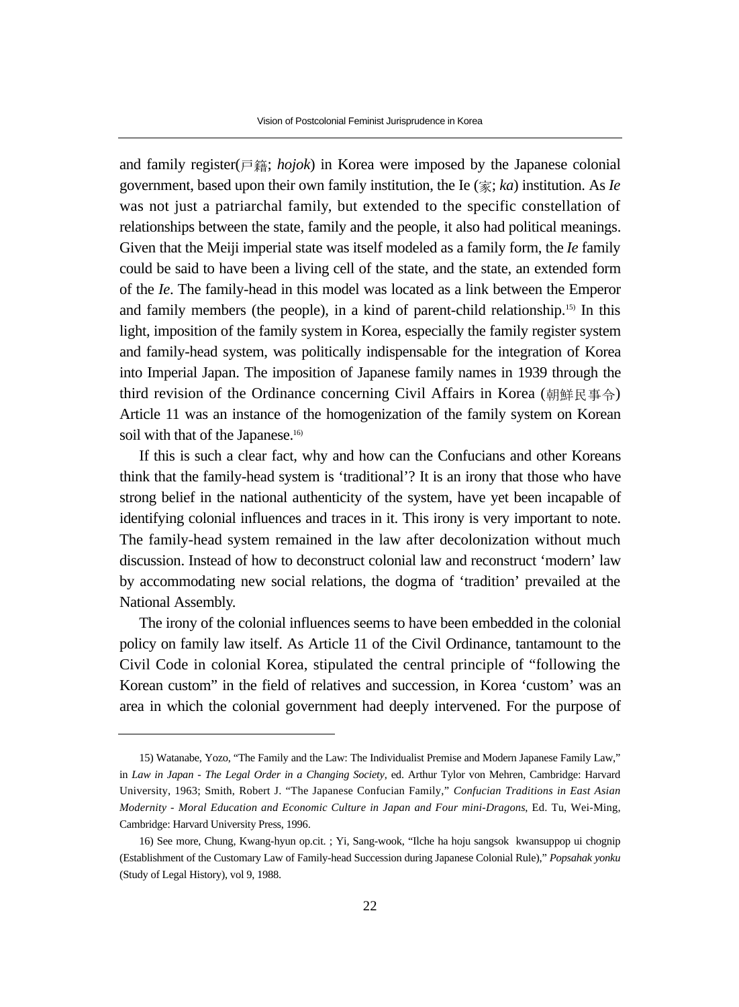and family register(戶籍; *hojok*) in Korea were imposed by the Japanese colonial government, based upon their own family institution, the Ie (家; *ka*) institution. As *Ie* was not just a patriarchal family, but extended to the specific constellation of relationships between the state, family and the people, it also had political meanings. Given that the Meiji imperial state was itself modeled as a family form, the *Ie* family could be said to have been a living cell of the state, and the state, an extended form of the *Ie*. The family-head in this model was located as a link between the Emperor and family members (the people), in a kind of parent-child relationship.15) In this light, imposition of the family system in Korea, especially the family register system and family-head system, was politically indispensable for the integration of Korea into Imperial Japan. The imposition of Japanese family names in 1939 through the third revision of the Ordinance concerning Civil Affairs in Korea (朝鮮民事令) Article 11 was an instance of the homogenization of the family system on Korean soil with that of the Japanese.<sup>16)</sup>

If this is such a clear fact, why and how can the Confucians and other Koreans think that the family-head system is 'traditional'? It is an irony that those who have strong belief in the national authenticity of the system, have yet been incapable of identifying colonial influences and traces in it. This irony is very important to note. The family-head system remained in the law after decolonization without much discussion. Instead of how to deconstruct colonial law and reconstruct 'modern' law by accommodating new social relations, the dogma of 'tradition' prevailed at the National Assembly.

The irony of the colonial influences seems to have been embedded in the colonial policy on family law itself. As Article 11 of the Civil Ordinance, tantamount to the Civil Code in colonial Korea, stipulated the central principle of "following the Korean custom" in the field of relatives and succession, in Korea 'custom' was an area in which the colonial government had deeply intervened. For the purpose of

<sup>15)</sup> Watanabe, Yozo, "The Family and the Law: The Individualist Premise and Modern Japanese Family Law," in *Law in Japan - The Legal Order in a Changing Society*, ed. Arthur Tylor von Mehren, Cambridge: Harvard University, 1963; Smith, Robert J. "The Japanese Confucian Family," *Confucian Traditions in East Asian Modernity - Moral Education and Economic Culture in Japan and Four mini-Dragons*, Ed. Tu, Wei-Ming, Cambridge: Harvard University Press, 1996.

<sup>16)</sup> See more, Chung, Kwang-hyun op.cit. ; Yi, Sang-wook, "Ilche ha hoju sangsok kwansuppop ui chognip (Establishment of the Customary Law of Family-head Succession during Japanese Colonial Rule)," *Popsahak yonku* (Study of Legal History), vol 9, 1988.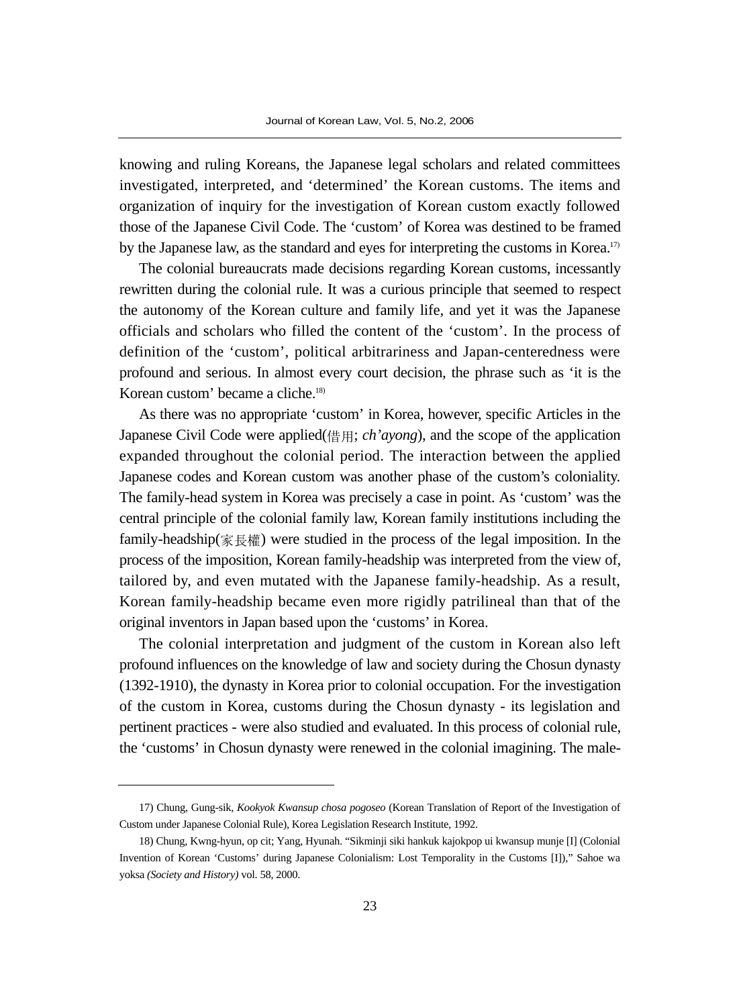knowing and ruling Koreans, the Japanese legal scholars and related committees investigated, interpreted, and 'determined' the Korean customs. The items and organization of inquiry for the investigation of Korean custom exactly followed those of the Japanese Civil Code. The 'custom' of Korea was destined to be framed by the Japanese law, as the standard and eyes for interpreting the customs in Korea.<sup>17</sup>

The colonial bureaucrats made decisions regarding Korean customs, incessantly rewritten during the colonial rule. It was a curious principle that seemed to respect the autonomy of the Korean culture and family life, and yet it was the Japanese officials and scholars who filled the content of the 'custom'. In the process of definition of the 'custom', political arbitrariness and Japan-centeredness were profound and serious. In almost every court decision, the phrase such as 'it is the Korean custom' became a cliche.<sup>18)</sup>

As there was no appropriate 'custom' in Korea, however, specific Articles in the Japanese Civil Code were applied(借用; *ch'ayong*), and the scope of the application expanded throughout the colonial period. The interaction between the applied Japanese codes and Korean custom was another phase of the custom's coloniality. The family-head system in Korea was precisely a case in point. As 'custom' was the central principle of the colonial family law, Korean family institutions including the family-headship(家長權) were studied in the process of the legal imposition. In the process of the imposition, Korean family-headship was interpreted from the view of, tailored by, and even mutated with the Japanese family-headship. As a result, Korean family-headship became even more rigidly patrilineal than that of the original inventors in Japan based upon the 'customs' in Korea.

The colonial interpretation and judgment of the custom in Korean also left profound influences on the knowledge of law and society during the Chosun dynasty (1392-1910), the dynasty in Korea prior to colonial occupation. For the investigation of the custom in Korea, customs during the Chosun dynasty - its legislation and pertinent practices - were also studied and evaluated. In this process of colonial rule, the 'customs' in Chosun dynasty were renewed in the colonial imagining. The male-

<sup>17)</sup> Chung, Gung-sik, *Kookyok Kwansup chosa pogoseo* (Korean Translation of Report of the Investigation of Custom under Japanese Colonial Rule), Korea Legislation Research Institute, 1992.

<sup>18)</sup> Chung, Kwng-hyun, op cit; Yang, Hyunah. "Sikminji siki hankuk kajokpop ui kwansup munje [I] (Colonial Invention of Korean 'Customs' during Japanese Colonialism: Lost Temporality in the Customs [I])," Sahoe wa yoksa *(Society and History)* vol. 58, 2000.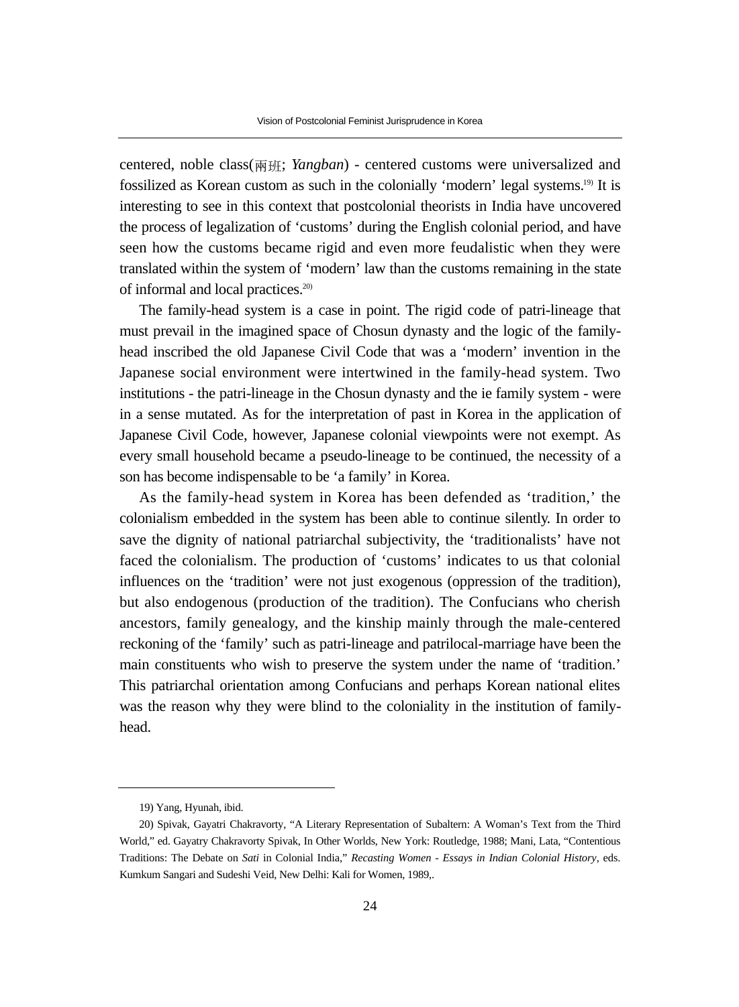centered, noble class(�班; *Yangban*) - centered customs were universalized and fossilized as Korean custom as such in the colonially 'modern' legal systems.19) It is interesting to see in this context that postcolonial theorists in India have uncovered the process of legalization of 'customs' during the English colonial period, and have seen how the customs became rigid and even more feudalistic when they were translated within the system of 'modern' law than the customs remaining in the state of informal and local practices.20)

The family-head system is a case in point. The rigid code of patri-lineage that must prevail in the imagined space of Chosun dynasty and the logic of the familyhead inscribed the old Japanese Civil Code that was a 'modern' invention in the Japanese social environment were intertwined in the family-head system. Two institutions - the patri-lineage in the Chosun dynasty and the ie family system - were in a sense mutated. As for the interpretation of past in Korea in the application of Japanese Civil Code, however, Japanese colonial viewpoints were not exempt. As every small household became a pseudo-lineage to be continued, the necessity of a son has become indispensable to be 'a family' in Korea.

As the family-head system in Korea has been defended as 'tradition,' the colonialism embedded in the system has been able to continue silently. In order to save the dignity of national patriarchal subjectivity, the 'traditionalists' have not faced the colonialism. The production of 'customs' indicates to us that colonial influences on the 'tradition' were not just exogenous (oppression of the tradition), but also endogenous (production of the tradition). The Confucians who cherish ancestors, family genealogy, and the kinship mainly through the male-centered reckoning of the 'family' such as patri-lineage and patrilocal-marriage have been the main constituents who wish to preserve the system under the name of 'tradition.' This patriarchal orientation among Confucians and perhaps Korean national elites was the reason why they were blind to the coloniality in the institution of familyhead.

<sup>19)</sup> Yang, Hyunah, ibid.

<sup>20)</sup> Spivak, Gayatri Chakravorty, "A Literary Representation of Subaltern: A Woman's Text from the Third World," ed. Gayatry Chakravorty Spivak, In Other Worlds, New York: Routledge, 1988; Mani, Lata, "Contentious Traditions: The Debate on *Sati* in Colonial India," *Recasting Women - Essays in Indian Colonial History*, eds. Kumkum Sangari and Sudeshi Veid, New Delhi: Kali for Women, 1989,.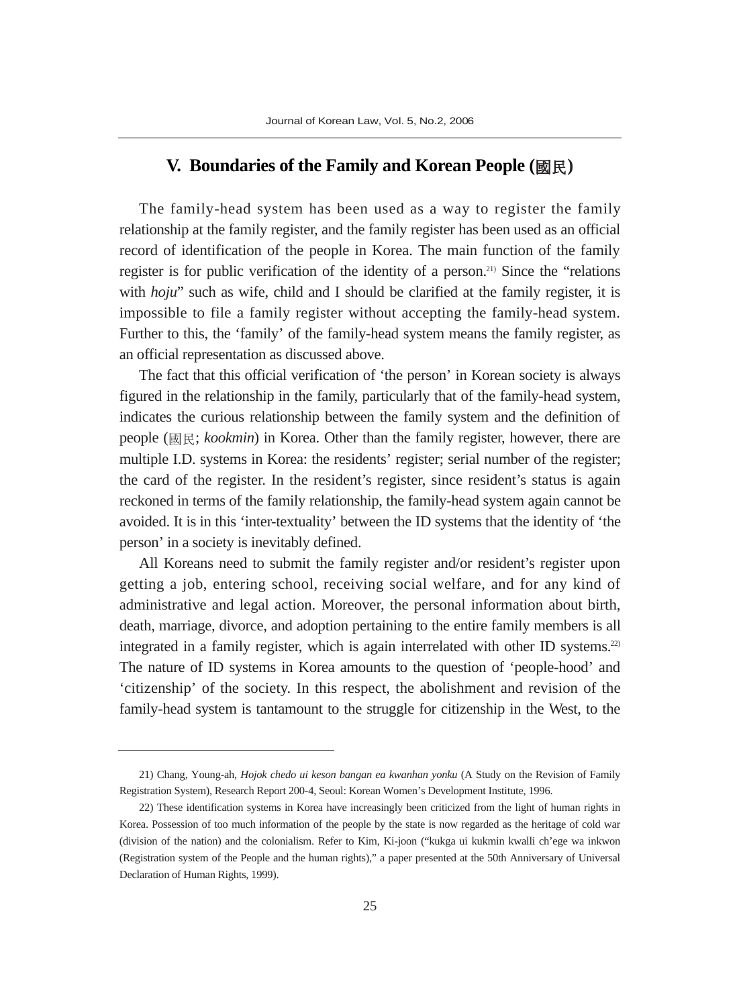## **V. Boundaries of the Family and Korean People (**國民**)**

The family-head system has been used as a way to register the family relationship at the family register, and the family register has been used as an official record of identification of the people in Korea. The main function of the family register is for public verification of the identity of a person.21) Since the "relations with *hoju*" such as wife, child and I should be clarified at the family register, it is impossible to file a family register without accepting the family-head system. Further to this, the 'family' of the family-head system means the family register, as an official representation as discussed above.

The fact that this official verification of 'the person' in Korean society is always figured in the relationship in the family, particularly that of the family-head system, indicates the curious relationship between the family system and the definition of people (國民; *kookmin*) in Korea. Other than the family register, however, there are multiple I.D. systems in Korea: the residents' register; serial number of the register; the card of the register. In the resident's register, since resident's status is again reckoned in terms of the family relationship, the family-head system again cannot be avoided. It is in this 'inter-textuality' between the ID systems that the identity of 'the person' in a society is inevitably defined.

All Koreans need to submit the family register and/or resident's register upon getting a job, entering school, receiving social welfare, and for any kind of administrative and legal action. Moreover, the personal information about birth, death, marriage, divorce, and adoption pertaining to the entire family members is all integrated in a family register, which is again interrelated with other ID systems.22) The nature of ID systems in Korea amounts to the question of 'people-hood' and 'citizenship' of the society. In this respect, the abolishment and revision of the family-head system is tantamount to the struggle for citizenship in the West, to the

<sup>21)</sup> Chang, Young-ah, *Hojok chedo ui keson bangan ea kwanhan yonku* (A Study on the Revision of Family Registration System), Research Report 200-4, Seoul: Korean Women's Development Institute, 1996.

<sup>22)</sup> These identification systems in Korea have increasingly been criticized from the light of human rights in Korea. Possession of too much information of the people by the state is now regarded as the heritage of cold war (division of the nation) and the colonialism. Refer to Kim, Ki-joon ("kukga ui kukmin kwalli ch'ege wa inkwon (Registration system of the People and the human rights)," a paper presented at the 50th Anniversary of Universal Declaration of Human Rights, 1999).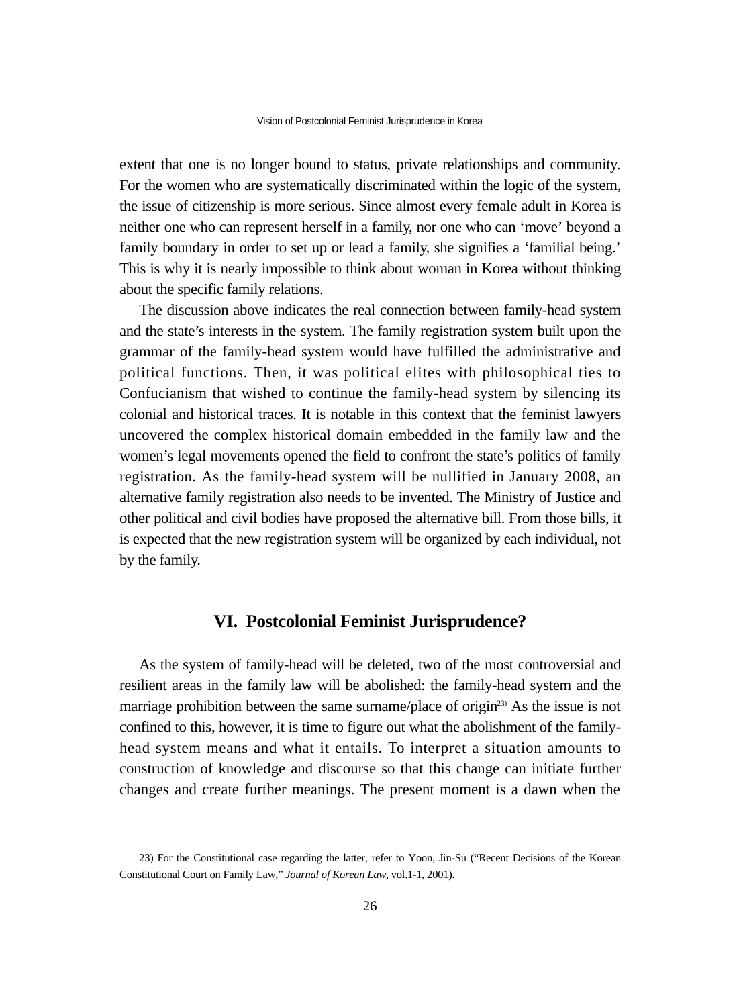extent that one is no longer bound to status, private relationships and community. For the women who are systematically discriminated within the logic of the system, the issue of citizenship is more serious. Since almost every female adult in Korea is neither one who can represent herself in a family, nor one who can 'move' beyond a family boundary in order to set up or lead a family, she signifies a 'familial being.' This is why it is nearly impossible to think about woman in Korea without thinking about the specific family relations.

The discussion above indicates the real connection between family-head system and the state's interests in the system. The family registration system built upon the grammar of the family-head system would have fulfilled the administrative and political functions. Then, it was political elites with philosophical ties to Confucianism that wished to continue the family-head system by silencing its colonial and historical traces. It is notable in this context that the feminist lawyers uncovered the complex historical domain embedded in the family law and the women's legal movements opened the field to confront the state's politics of family registration. As the family-head system will be nullified in January 2008, an alternative family registration also needs to be invented. The Ministry of Justice and other political and civil bodies have proposed the alternative bill. From those bills, it is expected that the new registration system will be organized by each individual, not by the family.

#### **VI. Postcolonial Feminist Jurisprudence?**

As the system of family-head will be deleted, two of the most controversial and resilient areas in the family law will be abolished: the family-head system and the marriage prohibition between the same surname/place of origin<sup>23)</sup> As the issue is not confined to this, however, it is time to figure out what the abolishment of the familyhead system means and what it entails. To interpret a situation amounts to construction of knowledge and discourse so that this change can initiate further changes and create further meanings. The present moment is a dawn when the

<sup>23)</sup> For the Constitutional case regarding the latter, refer to Yoon, Jin-Su ("Recent Decisions of the Korean Constitutional Court on Family Law," *Journal of Korean Law*, vol.1-1, 2001).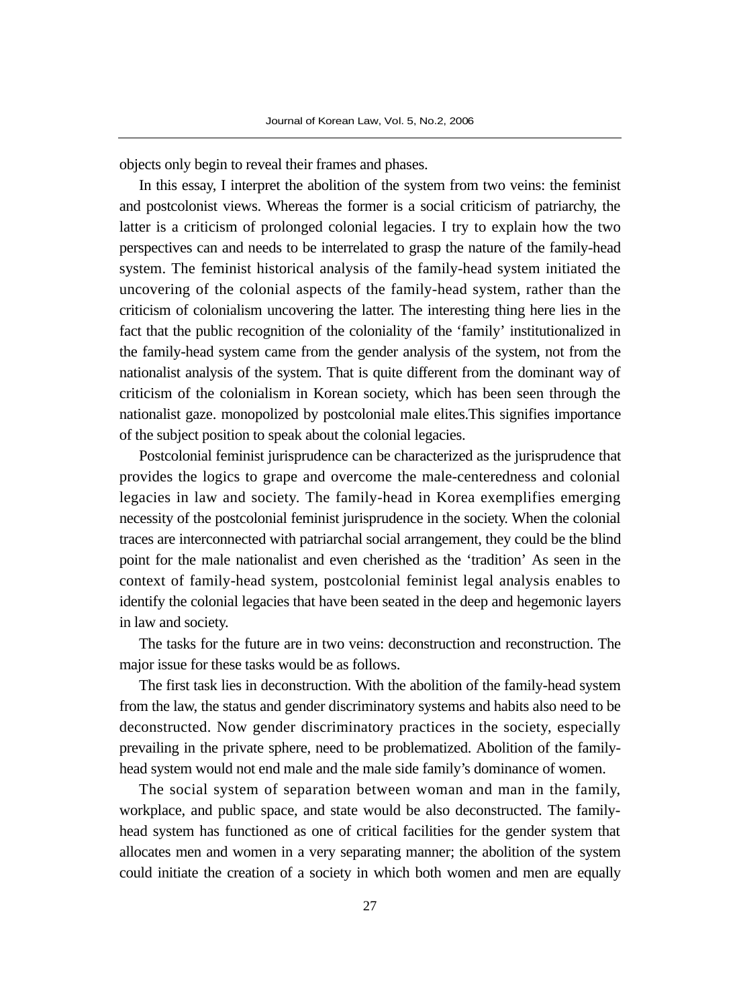objects only begin to reveal their frames and phases.

In this essay, I interpret the abolition of the system from two veins: the feminist and postcolonist views. Whereas the former is a social criticism of patriarchy, the latter is a criticism of prolonged colonial legacies. I try to explain how the two perspectives can and needs to be interrelated to grasp the nature of the family-head system. The feminist historical analysis of the family-head system initiated the uncovering of the colonial aspects of the family-head system, rather than the criticism of colonialism uncovering the latter. The interesting thing here lies in the fact that the public recognition of the coloniality of the 'family' institutionalized in the family-head system came from the gender analysis of the system, not from the nationalist analysis of the system. That is quite different from the dominant way of criticism of the colonialism in Korean society, which has been seen through the nationalist gaze. monopolized by postcolonial male elites.This signifies importance of the subject position to speak about the colonial legacies.

Postcolonial feminist jurisprudence can be characterized as the jurisprudence that provides the logics to grape and overcome the male-centeredness and colonial legacies in law and society. The family-head in Korea exemplifies emerging necessity of the postcolonial feminist jurisprudence in the society. When the colonial traces are interconnected with patriarchal social arrangement, they could be the blind point for the male nationalist and even cherished as the 'tradition' As seen in the context of family-head system, postcolonial feminist legal analysis enables to identify the colonial legacies that have been seated in the deep and hegemonic layers in law and society.

The tasks for the future are in two veins: deconstruction and reconstruction. The major issue for these tasks would be as follows.

The first task lies in deconstruction. With the abolition of the family-head system from the law, the status and gender discriminatory systems and habits also need to be deconstructed. Now gender discriminatory practices in the society, especially prevailing in the private sphere, need to be problematized. Abolition of the familyhead system would not end male and the male side family's dominance of women.

The social system of separation between woman and man in the family, workplace, and public space, and state would be also deconstructed. The familyhead system has functioned as one of critical facilities for the gender system that allocates men and women in a very separating manner; the abolition of the system could initiate the creation of a society in which both women and men are equally